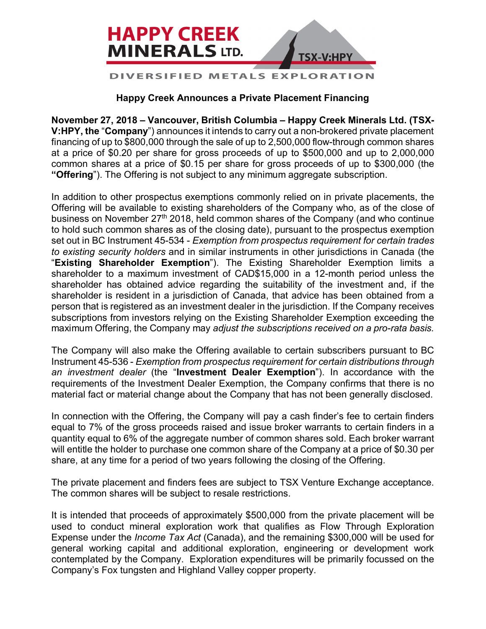

## **DIVERSIFIED METALS EXPLORA**

## **Happy Creek Announces a Private Placement Financing**

**November 27, 2018 – Vancouver, British Columbia – Happy Creek Minerals Ltd. (TSX-V:HPY, the** "**Company**") announces it intends to carry out a non-brokered private placement financing of up to \$800,000 through the sale of up to 2,500,000 flow-through common shares at a price of \$0.20 per share for gross proceeds of up to \$500,000 and up to 2,000,000 common shares at a price of \$0.15 per share for gross proceeds of up to \$300,000 (the **"Offering**"). The Offering is not subject to any minimum aggregate subscription.

In addition to other prospectus exemptions commonly relied on in private placements, the Offering will be available to existing shareholders of the Company who, as of the close of business on November 27<sup>th</sup> 2018, held common shares of the Company (and who continue to hold such common shares as of the closing date), pursuant to the prospectus exemption set out in BC Instrument 45-534 - *Exemption from prospectus requirement for certain trades to existing security holders* and in similar instruments in other jurisdictions in Canada (the "**Existing Shareholder Exemption**"). The Existing Shareholder Exemption limits a shareholder to a maximum investment of CAD\$15,000 in a 12-month period unless the shareholder has obtained advice regarding the suitability of the investment and, if the shareholder is resident in a jurisdiction of Canada, that advice has been obtained from a person that is registered as an investment dealer in the jurisdiction. If the Company receives subscriptions from investors relying on the Existing Shareholder Exemption exceeding the maximum Offering, the Company may *adjust the subscriptions received on a pro-rata basis.*

The Company will also make the Offering available to certain subscribers pursuant to BC Instrument 45-536 - *Exemption from prospectus requirement for certain distributions through an investment dealer* (the "**Investment Dealer Exemption**"). In accordance with the requirements of the Investment Dealer Exemption, the Company confirms that there is no material fact or material change about the Company that has not been generally disclosed.

In connection with the Offering, the Company will pay a cash finder's fee to certain finders equal to 7% of the gross proceeds raised and issue broker warrants to certain finders in a quantity equal to 6% of the aggregate number of common shares sold. Each broker warrant will entitle the holder to purchase one common share of the Company at a price of \$0.30 per share, at any time for a period of two years following the closing of the Offering.

The private placement and finders fees are subject to TSX Venture Exchange acceptance. The common shares will be subject to resale restrictions.

It is intended that proceeds of approximately \$500,000 from the private placement will be used to conduct mineral exploration work that qualifies as Flow Through Exploration Expense under the *Income Tax Act* (Canada), and the remaining \$300,000 will be used for general working capital and additional exploration, engineering or development work contemplated by the Company. Exploration expenditures will be primarily focussed on the Company's Fox tungsten and Highland Valley copper property.